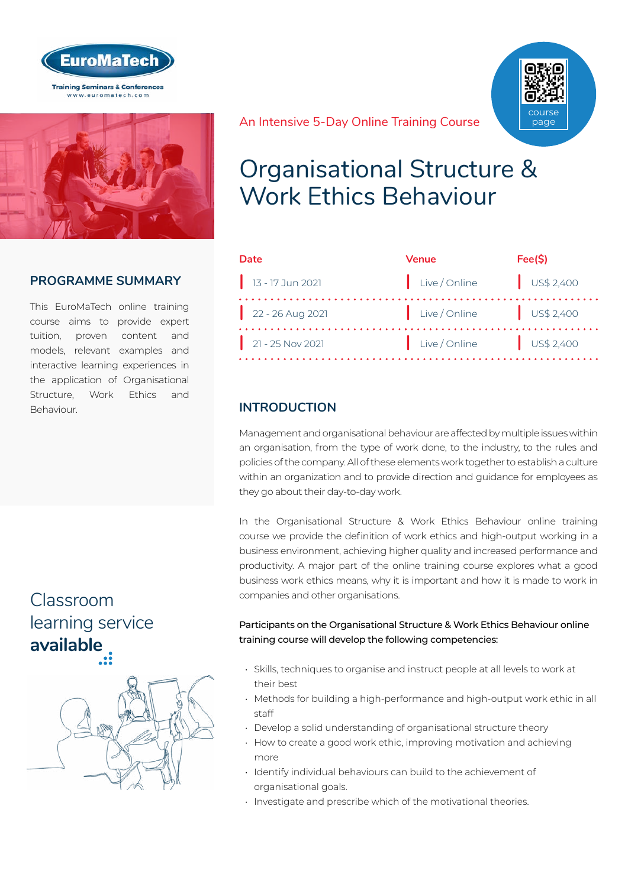



### **PROGRAMME SUMMARY**

This EuroMaTech online training course aims to provide expert tuition, proven content and models, relevant examples and interactive learning experiences in the application of Organisational Structure, Work Ethics and Behaviour.

## Classroom [learning service](http://www.euromatech.com/seminars/organisational-structure-work-ethics-behaviour/)  **available**



An Intensive 5-Day Online Training Course



| Date               | <b>Venue</b>                                               | Fee(S) |
|--------------------|------------------------------------------------------------|--------|
| $13 - 17$ Jun 2021 | Live/Online US\$ 2,400                                     |        |
| $22 - 26$ Aug 2021 | $\left  \right $ Live / Online $\left  \right $ US\$ 2,400 |        |
| $21 - 25$ Nov 2021 | $\vert$ Live / Online $\vert$ US\$ 2,400                   |        |

## **INTRODUCTION**

Management and organisational behaviour are affected by multiple issues within an organisation, from the type of work done, to the industry, to the rules and policies of the company. All of these elements work together to establish a culture within an organization and to provide direction and guidance for employees as they go about their day-to-day work.

In the Organisational Structure & Work Ethics Behaviour online training course we provide the definition of work ethics and high-output working in a business environment, achieving higher quality and increased performance and productivity. A major part of the online training course explores what a good business work ethics means, why it is important and how it is made to work in companies and other organisations.

#### Participants on the Organisational Structure & Work Ethics Behaviour online training course will develop the following competencies:

- Skills, techniques to organise and instruct people at all levels to work at their best
- Methods for building a high-performance and high-output work ethic in all staff
- Develop a solid understanding of organisational structure theory
- How to create a good work ethic, improving motivation and achieving more
- Identify individual behaviours can build to the achievement of organisational goals.
- Investigate and prescribe which of the motivational theories.

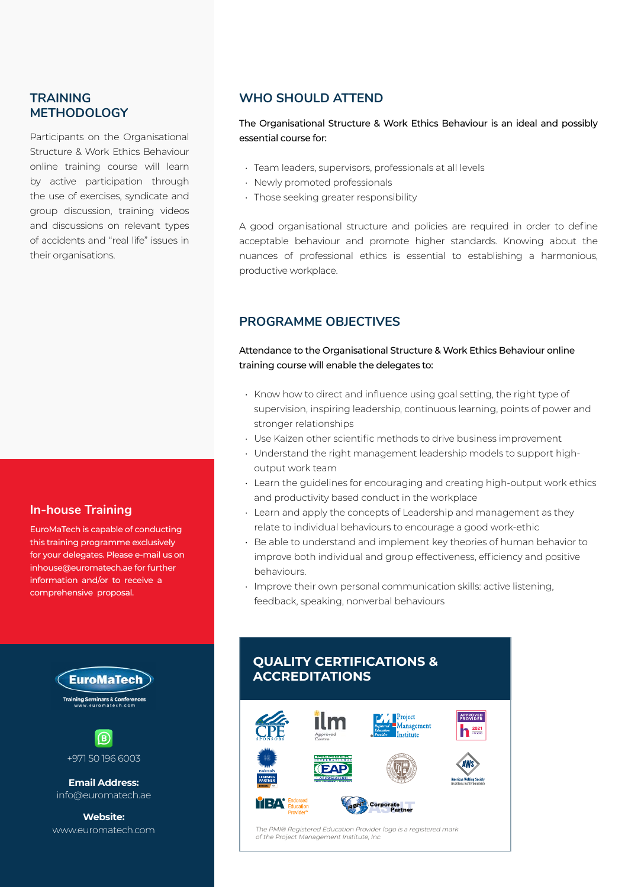### **TRAINING METHODOLOGY**

Participants on the Organisational Structure & Work Ethics Behaviour online training course will learn by active participation through the use of exercises, syndicate and group discussion, training videos and discussions on relevant types of accidents and "real life" issues in their organisations.

#### **In-house Training**

EuroMaTech is capable of conducting this training programme exclusively for your delegates. Please e-mail us on inhouse@euromatech.ae for further information and/or to receive a comprehensive proposal.



**Training Seminars & Conferences** 



+971 50 196 6003

**Email Address:** info@euromatech.ae

**Website:**

### **WHO SHOULD ATTEND**

The Organisational Structure & Work Ethics Behaviour is an ideal and possibly essential course for:

- Team leaders, supervisors, professionals at all levels
- Newly promoted professionals
- Those seeking greater responsibility

A good organisational structure and policies are required in order to define acceptable behaviour and promote higher standards. Knowing about the nuances of professional ethics is essential to establishing a harmonious, productive workplace.

#### **PROGRAMME OBJECTIVES**

Attendance to the Organisational Structure & Work Ethics Behaviour online training course will enable the delegates to:

- Know how to direct and influence using goal setting, the right type of supervision, inspiring leadership, continuous learning, points of power and stronger relationships
- Use Kaizen other scientific methods to drive business improvement
- Understand the right management leadership models to support highoutput work team
- Learn the guidelines for encouraging and creating high-output work ethics and productivity based conduct in the workplace
- Learn and apply the concepts of Leadership and management as they relate to individual behaviours to encourage a good work-ethic
- Be able to understand and implement key theories of human behavior to improve both individual and group effectiveness, efficiency and positive behaviours.
- Improve their own personal communication skills: active listening, feedback, speaking, nonverbal behaviours

## **QUALITY CERTIFICATIONS & ACCREDITATIONS**



www.euromatech.com The PMI® Registered Education Provider logo is a registered mark of the Project Management Institute, Inc.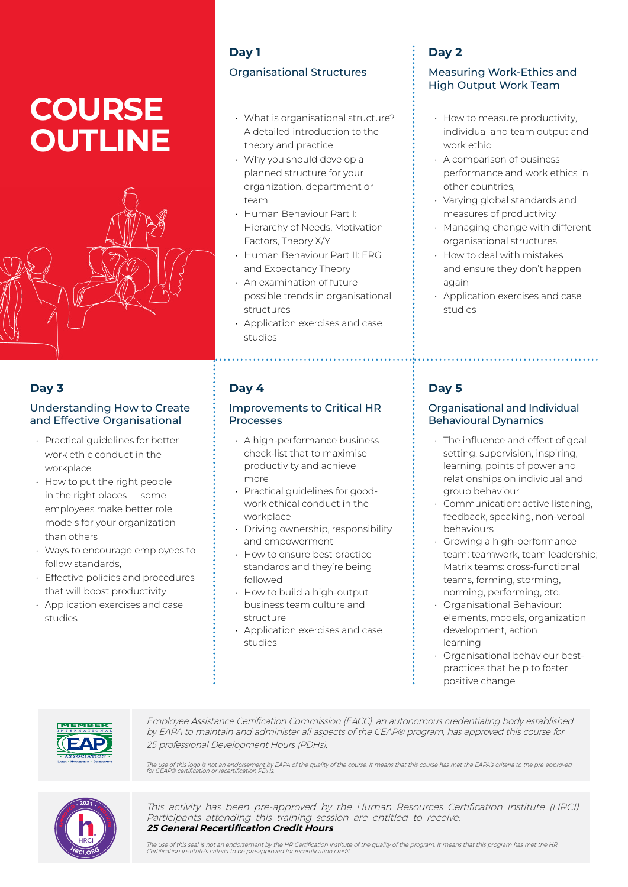# **COURSE OUTLINE**



### **Day 3**

#### Understanding How to Create and Effective Organisational

- Practical guidelines for better work ethic conduct in the workplace
- How to put the right people in the right places — some employees make better role models for your organization than others
- Ways to encourage employees to follow standards,
- Effective policies and procedures that will boost productivity
- Application exercises and case studies

## **Day 1**

## Organisational Structures

- What is organisational structure? A detailed introduction to the theory and practice
- Why you should develop a planned structure for your organization, department or team
- Human Behaviour Part I: Hierarchy of Needs, Motivation Factors, Theory X/Y
- Human Behaviour Part II: ERG and Expectancy Theory
- An examination of future possible trends in organisational structures
- Application exercises and case studies

### **Day 4**

#### Improvements to Critical HR Processes

- A high-performance business check-list that to maximise productivity and achieve more
- Practical guidelines for goodwork ethical conduct in the workplace
- Driving ownership, responsibility and empowerment
- How to ensure best practice standards and they're being followed
- How to build a high-output business team culture and structure
- Application exercises and case studies

## **Day 2**

#### Measuring Work-Ethics and High Output Work Team

- How to measure productivity, individual and team output and work ethic
- A comparison of business performance and work ethics in other countries,
- Varying global standards and measures of productivity
- Managing change with different organisational structures
- How to deal with mistakes and ensure they don't happen again
- Application exercises and case studies

## **Day 5**

#### Organisational and Individual Behavioural Dynamics

- The influence and effect of goal setting, supervision, inspiring, learning, points of power and relationships on individual and group behaviour
- Communication: active listening, feedback, speaking, non-verbal behaviours
- Growing a high-performance team: teamwork, team leadership; Matrix teams: cross-functional teams, forming, storming, norming, performing, etc.
- Organisational Behaviour: elements, models, organization development, action learning
- Organisational behaviour bestpractices that help to foster positive change



Employee Assistance Certification Commission (EACC), an autonomous credentialing body established by EAPA to maintain and administer all aspects of the CEAP® program, has approved this course for 25 professional Development Hours (PDHs).

The use of this logo is not an endorsement by EAPA of the quality of the course. It means that this course has met the EAPA's criteria to the pre-approved<br>for CEAP® certification or recertification PDHs.



This activity has been pre-approved by the Human Resources Certification Institute (HRCI). Participants attending this training session are entitled to receive: **25 General Recertification Credit Hours**